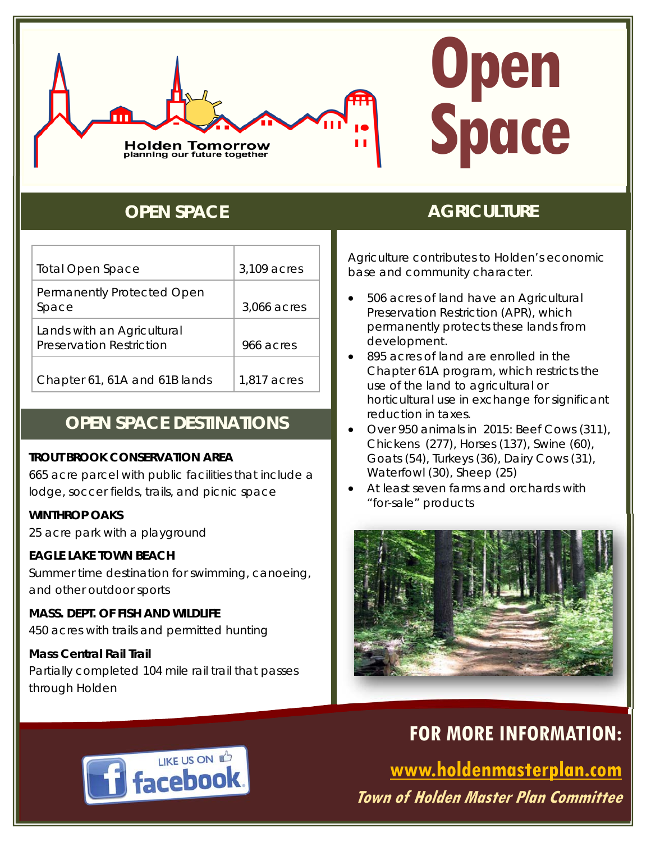

# **Open Space**

| <b>Total Open Space</b>                                | 3,109 acres |
|--------------------------------------------------------|-------------|
| Permanently Protected Open<br>Space                    | 3,066 acres |
| Lands with an Agricultural<br>Preservation Restriction | 966 acres   |
| Chapter 61, 61A and 61B lands                          | 1,817 acres |

## **OPEN SPACE DESTINATIONS**

#### **TROUT BROOK CONSERVATION AREA**

665 acre parcel with public facilities that include a lodge, soccer fields, trails, and picnic space

#### **WINTHROP OAKS**

25 acre park with a playground

#### **EAGLE LAKE TOWN BEACH**

Summer time destination for swimming, canoeing, and other outdoor sports

**MASS. DEPT. OF FISH AND WILDLIFE**  450 acres with trails and permitted hunting

#### **Mass Central Rail Trail**

Partially completed 104 mile rail trail that passes through Holden

# **OPEN SPACE AGRICULTURE**

Agriculture contributes to Holden's economic base and community character.

- *506 acres* of land have an Agricultural Preservation Restriction (APR), which permanently protects these lands from development.
- *895 acres* of land are enrolled in the Chapter 61A program, which restricts the use of the land to agricultural or horticultural use in exchange for significant reduction in taxes.
- Over *950 animals* in 2015: Beef Cows (311), Chickens (277), Horses (137), Swine (60), Goats (54), Turkeys (36), Dairy Cows (31), Waterfowl (30), Sheep (25)
- At least seven farms and orchards with "for-sale" products



# **FOR MORE INFORMATION:**

**www.holdenmasterplan.com Town of Holden Master Plan Committee**